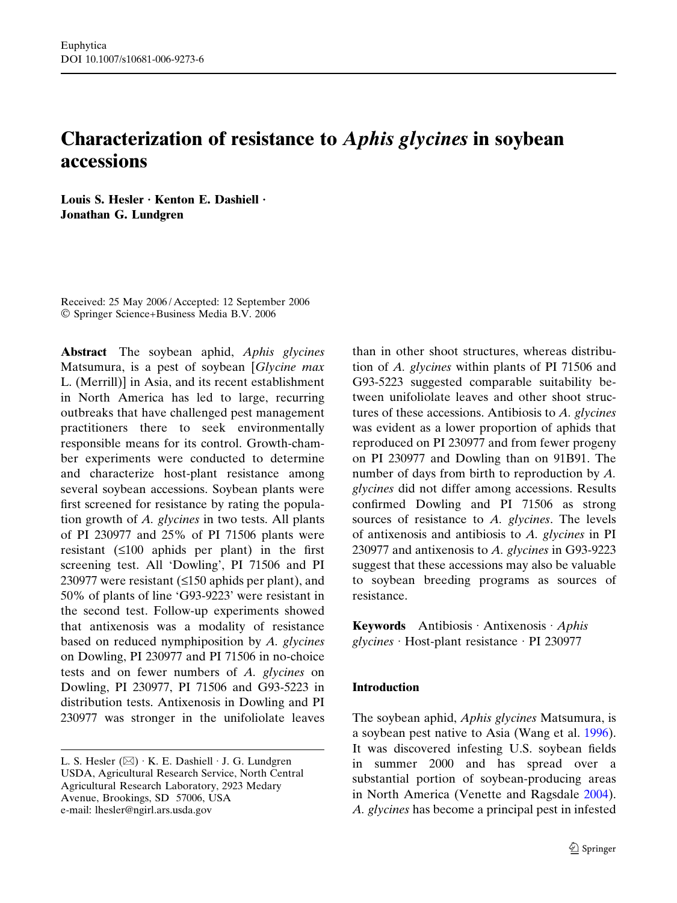# Characterization of resistance to Aphis glycines in soybean accessions

Louis S. Hesler  $\cdot$  Kenton E. Dashiell  $\cdot$ Jonathan G. Lundgren

Received: 25 May 2006 / Accepted: 12 September 2006 Springer Science+Business Media B.V. 2006

Abstract The soybean aphid, Aphis glycines Matsumura, is a pest of soybean [Glycine max L. (Merrill)] in Asia, and its recent establishment in North America has led to large, recurring outbreaks that have challenged pest management practitioners there to seek environmentally responsible means for its control. Growth-chamber experiments were conducted to determine and characterize host-plant resistance among several soybean accessions. Soybean plants were first screened for resistance by rating the population growth of A. glycines in two tests. All plants of PI 230977 and 25% of PI 71506 plants were resistant  $(≤100$  aphids per plant) in the first screening test. All 'Dowling', PI 71506 and PI 230977 were resistant  $( \leq 150$  aphids per plant), and 50% of plants of line 'G93-9223' were resistant in the second test. Follow-up experiments showed that antixenosis was a modality of resistance based on reduced nymphiposition by A. glycines on Dowling, PI 230977 and PI 71506 in no-choice tests and on fewer numbers of A. glycines on Dowling, PI 230977, PI 71506 and G93-5223 in distribution tests. Antixenosis in Dowling and PI 230977 was stronger in the unifoliolate leaves

than in other shoot structures, whereas distribution of A. glycines within plants of PI 71506 and G93-5223 suggested comparable suitability between unifoliolate leaves and other shoot structures of these accessions. Antibiosis to A. glycines was evident as a lower proportion of aphids that reproduced on PI 230977 and from fewer progeny on PI 230977 and Dowling than on 91B91. The number of days from birth to reproduction by A. glycines did not differ among accessions. Results confirmed Dowling and PI 71506 as strong sources of resistance to A. glycines. The levels of antixenosis and antibiosis to  $A$ . glycines in PI 230977 and antixenosis to A. glycines in G93-9223 suggest that these accessions may also be valuable to soybean breeding programs as sources of resistance.

Keywords Antibiosis Antixenosis  $Aphis$  $glycines \cdot Host-plant resistance \cdot PI 230977$ 

## Introduction

The soybean aphid, *Aphis glycines* Matsumura, is a soybean pest native to Asia (Wang et al. [1996\)](#page-8-0). It was discovered infesting U.S. soybean fields in summer 2000 and has spread over a substantial portion of soybean-producing areas in North America (Venette and Ragsdale [2004\)](#page-8-0). A. glycines has become a principal pest in infested

L. S. Hesler  $(\boxtimes) \cdot K$ . E. Dashiell  $\cdot$  J. G. Lundgren USDA, Agricultural Research Service, North Central Agricultural Research Laboratory, 2923 Medary Avenue, Brookings, SD 57006, USA e-mail: lhesler@ngirl.ars.usda.gov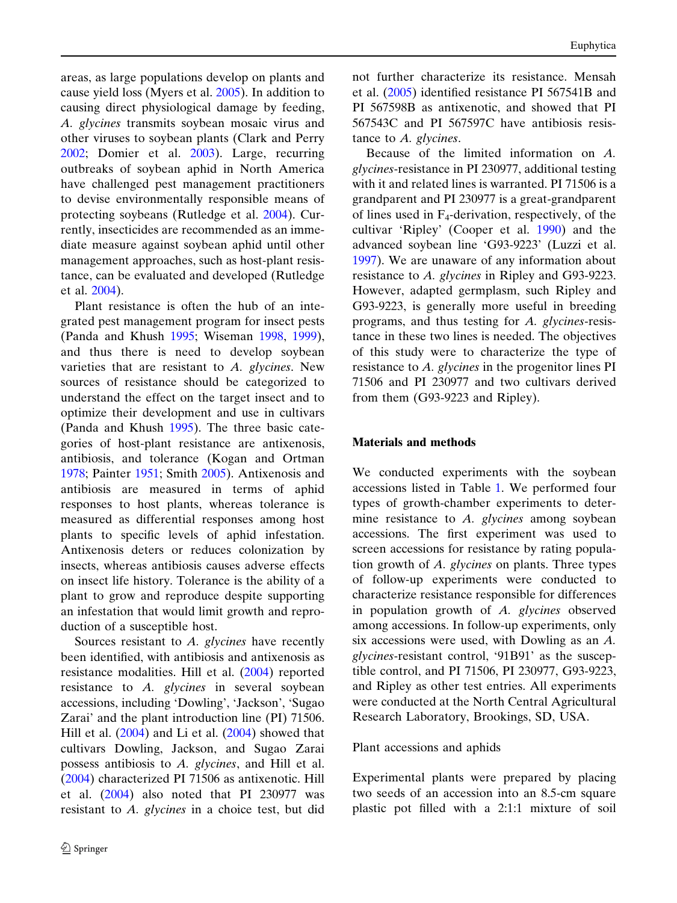areas, as large populations develop on plants and cause yield loss (Myers et al. [2005](#page-8-0)). In addition to causing direct physiological damage by feeding, A. glycines transmits soybean mosaic virus and other viruses to soybean plants (Clark and Perry [2002;](#page-8-0) Domier et al. [2003](#page-8-0)). Large, recurring outbreaks of soybean aphid in North America have challenged pest management practitioners to devise environmentally responsible means of protecting soybeans (Rutledge et al. [2004\)](#page-8-0). Currently, insecticides are recommended as an immediate measure against soybean aphid until other management approaches, such as host-plant resistance, can be evaluated and developed (Rutledge et al. [2004\)](#page-8-0).

Plant resistance is often the hub of an integrated pest management program for insect pests (Panda and Khush [1995](#page-8-0); Wiseman [1998](#page-8-0), [1999\)](#page-8-0), and thus there is need to develop soybean varieties that are resistant to A. glycines. New sources of resistance should be categorized to understand the effect on the target insect and to optimize their development and use in cultivars (Panda and Khush [1995](#page-8-0)). The three basic categories of host-plant resistance are antixenosis, antibiosis, and tolerance (Kogan and Ortman [1978;](#page-8-0) Painter [1951](#page-8-0); Smith [2005\)](#page-8-0). Antixenosis and antibiosis are measured in terms of aphid responses to host plants, whereas tolerance is measured as differential responses among host plants to specific levels of aphid infestation. Antixenosis deters or reduces colonization by insects, whereas antibiosis causes adverse effects on insect life history. Tolerance is the ability of a plant to grow and reproduce despite supporting an infestation that would limit growth and reproduction of a susceptible host.

Sources resistant to A. glycines have recently been identified, with antibiosis and antixenosis as resistance modalities. Hill et al. ([2004\)](#page-8-0) reported resistance to A. glycines in several soybean accessions, including 'Dowling', 'Jackson', 'Sugao Zarai' and the plant introduction line (PI) 71506. Hill et al.  $(2004)$  $(2004)$  and Li et al.  $(2004)$  showed that cultivars Dowling, Jackson, and Sugao Zarai possess antibiosis to A. glycines, and Hill et al. [\(2004](#page-8-0)) characterized PI 71506 as antixenotic. Hill et al. ([2004\)](#page-8-0) also noted that PI 230977 was resistant to A. glycines in a choice test, but did not further characterize its resistance. Mensah et al. ([2005\)](#page-8-0) identified resistance PI 567541B and PI 567598B as antixenotic, and showed that PI 567543C and PI 567597C have antibiosis resistance to A. glycines.

Because of the limited information on A. glycines-resistance in PI 230977, additional testing with it and related lines is warranted. PI 71506 is a grandparent and PI 230977 is a great-grandparent of lines used in  $F_4$ -derivation, respectively, of the cultivar 'Ripley' (Cooper et al. [1990](#page-8-0)) and the advanced soybean line 'G93-9223' (Luzzi et al. [1997\)](#page-8-0). We are unaware of any information about resistance to A. glycines in Ripley and G93-9223. However, adapted germplasm, such Ripley and G93-9223, is generally more useful in breeding programs, and thus testing for A. glycines-resistance in these two lines is needed. The objectives of this study were to characterize the type of resistance to A. glycines in the progenitor lines PI 71506 and PI 230977 and two cultivars derived from them (G93-9223 and Ripley).

## Materials and methods

We conducted experiments with the soybean accessions listed in Table [1](#page-2-0). We performed four types of growth-chamber experiments to determine resistance to A. glycines among soybean accessions. The first experiment was used to screen accessions for resistance by rating population growth of A. glycines on plants. Three types of follow-up experiments were conducted to characterize resistance responsible for differences in population growth of A. glycines observed among accessions. In follow-up experiments, only six accessions were used, with Dowling as an A. glycines-resistant control, '91B91' as the susceptible control, and PI 71506, PI 230977, G93-9223, and Ripley as other test entries. All experiments were conducted at the North Central Agricultural Research Laboratory, Brookings, SD, USA.

## Plant accessions and aphids

Experimental plants were prepared by placing two seeds of an accession into an 8.5-cm square plastic pot filled with a 2:1:1 mixture of soil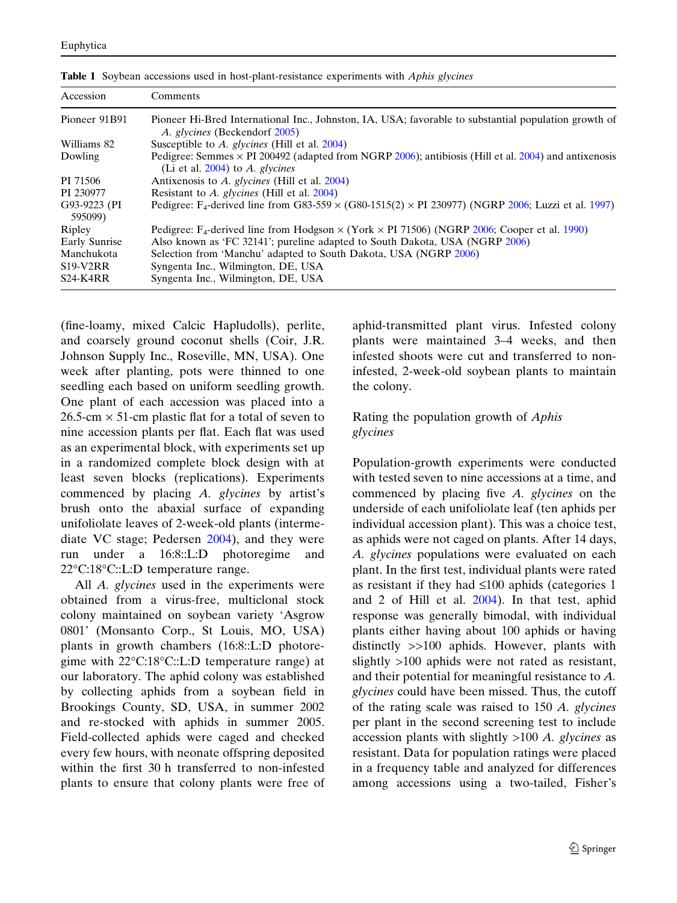| Accession               | Comments                                                                                                                                          |
|-------------------------|---------------------------------------------------------------------------------------------------------------------------------------------------|
| Pioneer 91B91           | Pioneer Hi-Bred International Inc., Johnston, IA, USA; favorable to substantial population growth of<br>A. glycines (Beckendorf 2005)             |
| Williams 82             | Susceptible to A. glycines (Hill et al. 2004)                                                                                                     |
| Dowling                 | Pedigree: Semmes $\times$ PI 200492 (adapted from NGRP 2006); antibiosis (Hill et al. 2004) and antixenosis<br>(Li et al. $2004$ ) to A. glycines |
| PI 71506                | Antixenosis to A. glycines (Hill et al. 2004)                                                                                                     |
| PI 230977               | Resistant to A. glycines (Hill et al. 2004)                                                                                                       |
| G93-9223 (PI<br>595099) | Pedigree: F <sub>4</sub> -derived line from G83-559 $\times$ (G80-1515(2) $\times$ PI 230977) (NGRP 2006; Luzzi et al. 1997)                      |
| Ripley                  | Pedigree: F <sub>4</sub> -derived line from Hodgson $\times$ (York $\times$ PI 71506) (NGRP 2006; Cooper et al. 1990)                             |
| Early Sunrise           | Also known as 'FC 32141'; pureline adapted to South Dakota, USA (NGRP 2006)                                                                       |
| Manchukota              | Selection from 'Manchu' adapted to South Dakota, USA (NGRP 2006)                                                                                  |
| $S19-V2RR$              | Syngenta Inc., Wilmington, DE, USA                                                                                                                |
| <b>S24-K4RR</b>         | Syngenta Inc., Wilmington, DE, USA                                                                                                                |

<span id="page-2-0"></span>Table 1 Soybean accessions used in host-plant-resistance experiments with Aphis glycines

(fine-loamy, mixed Calcic Hapludolls), perlite, and coarsely ground coconut shells (Coir, J.R. Johnson Supply Inc., Roseville, MN, USA). One week after planting, pots were thinned to one seedling each based on uniform seedling growth. One plant of each accession was placed into a 26.5-cm  $\times$  51-cm plastic flat for a total of seven to nine accession plants per flat. Each flat was used as an experimental block, with experiments set up in a randomized complete block design with at least seven blocks (replications). Experiments commenced by placing A. glycines by artist's brush onto the abaxial surface of expanding unifoliolate leaves of 2-week-old plants (intermediate VC stage; Pedersen [2004](#page-8-0)), and they were run under a 16:8::L:D photoregime and 22°C:18°C::L:D temperature range.

All A. glycines used in the experiments were obtained from a virus-free, multiclonal stock colony maintained on soybean variety 'Asgrow 0801' (Monsanto Corp., St Louis, MO, USA) plants in growth chambers (16:8::L:D photoregime with 22°C:18°C::L:D temperature range) at our laboratory. The aphid colony was established by collecting aphids from a soybean field in Brookings County, SD, USA, in summer 2002 and re-stocked with aphids in summer 2005. Field-collected aphids were caged and checked every few hours, with neonate offspring deposited within the first 30 h transferred to non-infested plants to ensure that colony plants were free of aphid-transmitted plant virus. Infested colony plants were maintained 3–4 weeks, and then infested shoots were cut and transferred to noninfested, 2-week-old soybean plants to maintain the colony.

## Rating the population growth of Aphis glycines

Population-growth experiments were conducted with tested seven to nine accessions at a time, and commenced by placing five A. glycines on the underside of each unifoliolate leaf (ten aphids per individual accession plant). This was a choice test, as aphids were not caged on plants. After 14 days, A. glycines populations were evaluated on each plant. In the first test, individual plants were rated as resistant if they had  $\leq 100$  aphids (categories 1 and 2 of Hill et al. [2004\)](#page-8-0). In that test, aphid response was generally bimodal, with individual plants either having about 100 aphids or having distinctly >>100 aphids. However, plants with slightly >100 aphids were not rated as resistant, and their potential for meaningful resistance to A. glycines could have been missed. Thus, the cutoff of the rating scale was raised to 150 A. glycines per plant in the second screening test to include accession plants with slightly  $>100$  A. glycines as resistant. Data for population ratings were placed in a frequency table and analyzed for differences among accessions using a two-tailed, Fisher's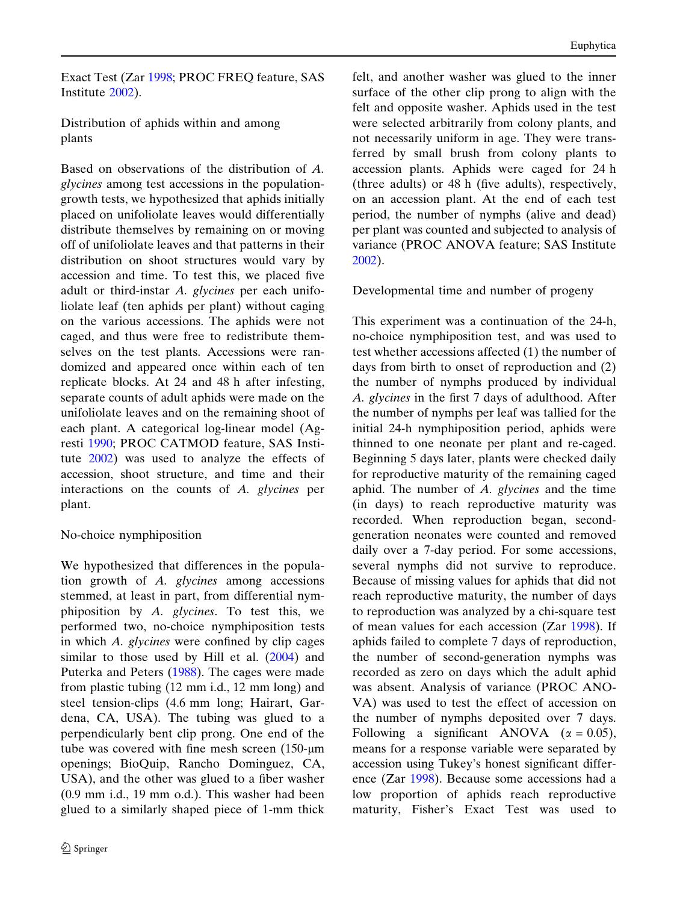Exact Test (Zar [1998;](#page-8-0) PROC FREQ feature, SAS Institute [2002](#page-8-0)).

Distribution of aphids within and among plants

Based on observations of the distribution of A. glycines among test accessions in the populationgrowth tests, we hypothesized that aphids initially placed on unifoliolate leaves would differentially distribute themselves by remaining on or moving off of unifoliolate leaves and that patterns in their distribution on shoot structures would vary by accession and time. To test this, we placed five adult or third-instar A. glycines per each unifoliolate leaf (ten aphids per plant) without caging on the various accessions. The aphids were not caged, and thus were free to redistribute themselves on the test plants. Accessions were randomized and appeared once within each of ten replicate blocks. At 24 and 48 h after infesting, separate counts of adult aphids were made on the unifoliolate leaves and on the remaining shoot of each plant. A categorical log-linear model (Agresti [1990;](#page-8-0) PROC CATMOD feature, SAS Institute [2002](#page-8-0)) was used to analyze the effects of accession, shoot structure, and time and their interactions on the counts of A. glycines per plant.

## No-choice nymphiposition

We hypothesized that differences in the population growth of A. glycines among accessions stemmed, at least in part, from differential nymphiposition by A. glycines. To test this, we performed two, no-choice nymphiposition tests in which A. glycines were confined by clip cages similar to those used by Hill et al.  $(2004)$  $(2004)$  and Puterka and Peters ([1988\)](#page-8-0). The cages were made from plastic tubing (12 mm i.d., 12 mm long) and steel tension-clips (4.6 mm long; Hairart, Gardena, CA, USA). The tubing was glued to a perpendicularly bent clip prong. One end of the tube was covered with fine mesh screen (150-*l*m openings; BioQuip, Rancho Dominguez, CA, USA), and the other was glued to a fiber washer (0.9 mm i.d., 19 mm o.d.). This washer had been glued to a similarly shaped piece of 1-mm thick felt, and another washer was glued to the inner surface of the other clip prong to align with the felt and opposite washer. Aphids used in the test were selected arbitrarily from colony plants, and not necessarily uniform in age. They were transferred by small brush from colony plants to accession plants. Aphids were caged for 24 h (three adults) or 48 h (five adults), respectively, on an accession plant. At the end of each test period, the number of nymphs (alive and dead) per plant was counted and subjected to analysis of variance (PROC ANOVA feature; SAS Institute [2002\)](#page-8-0).

Developmental time and number of progeny

This experiment was a continuation of the 24-h, no-choice nymphiposition test, and was used to test whether accessions affected (1) the number of days from birth to onset of reproduction and (2) the number of nymphs produced by individual A. glycines in the first 7 days of adulthood. After the number of nymphs per leaf was tallied for the initial 24-h nymphiposition period, aphids were thinned to one neonate per plant and re-caged. Beginning 5 days later, plants were checked daily for reproductive maturity of the remaining caged aphid. The number of A. glycines and the time (in days) to reach reproductive maturity was recorded. When reproduction began, secondgeneration neonates were counted and removed daily over a 7-day period. For some accessions, several nymphs did not survive to reproduce. Because of missing values for aphids that did not reach reproductive maturity, the number of days to reproduction was analyzed by a chi-square test of mean values for each accession (Zar [1998\)](#page-8-0). If aphids failed to complete 7 days of reproduction, the number of second-generation nymphs was recorded as zero on days which the adult aphid was absent. Analysis of variance (PROC ANO-VA) was used to test the effect of accession on the number of nymphs deposited over 7 days. Following a significant ANOVA ( $\alpha = 0.05$ ), means for a response variable were separated by accession using Tukey's honest significant difference (Zar [1998\)](#page-8-0). Because some accessions had a low proportion of aphids reach reproductive maturity, Fisher's Exact Test was used to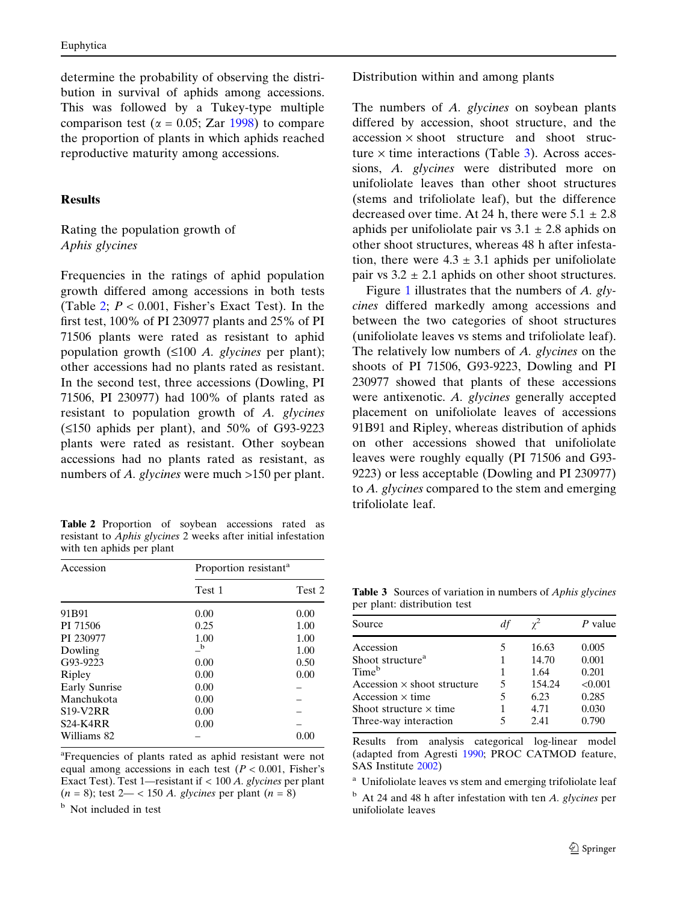<span id="page-4-0"></span>determine the probability of observing the distribution in survival of aphids among accessions. This was followed by a Tukey-type multiple comparison test ( $\alpha$  = 0.05; Zar [1998](#page-8-0)) to compare the proportion of plants in which aphids reached reproductive maturity among accessions.

#### Results

#### Rating the population growth of Aphis glycines

Frequencies in the ratings of aphid population growth differed among accessions in both tests (Table 2;  $P < 0.001$ , Fisher's Exact Test). In the first test, 100% of PI 230977 plants and 25% of PI 71506 plants were rated as resistant to aphid population growth  $(\leq 100 \text{ A}$ . glycines per plant); other accessions had no plants rated as resistant. In the second test, three accessions (Dowling, PI 71506, PI 230977) had 100% of plants rated as resistant to population growth of A. glycines  $(\leq 150$  aphids per plant), and 50% of G93-9223 plants were rated as resistant. Other soybean accessions had no plants rated as resistant, as numbers of A. glycines were much >150 per plant.

Table 2 Proportion of soybean accessions rated as resistant to Aphis glycines 2 weeks after initial infestation with ten aphids per plant

| Accession         | Proportion resistant <sup>a</sup> |        |  |
|-------------------|-----------------------------------|--------|--|
|                   | Test 1                            | Test 2 |  |
| 91 <sub>B91</sub> | 0.00                              | 0.00   |  |
| PI 71506          | 0.25                              | 1.00   |  |
| PI 230977         | 1.00                              | 1.00   |  |
| Dowling           | $\mathbf b$                       | 1.00   |  |
| G93-9223          | 0.00                              | 0.50   |  |
| Ripley            | 0.00                              | 0.00   |  |
| Early Sunrise     | 0.00                              |        |  |
| Manchukota        | 0.00                              |        |  |
| <b>S19-V2RR</b>   | 0.00                              |        |  |
| <b>S24-K4RR</b>   | 0.00                              |        |  |
| Williams 82       |                                   | 0.00   |  |

<sup>a</sup>Frequencies of plants rated as aphid resistant were not equal among accessions in each test  $(P < 0.001$ , Fisher's Exact Test). Test 1—resistant if < 100 A. glycines per plant  $(n = 8)$ ; test  $2 - < 150$  A. glycines per plant  $(n = 8)$ 

<sup>b</sup> Not included in test

Distribution within and among plants

The numbers of A. *glycines* on soybean plants differed by accession, shoot structure, and the  $accession \times shoot$  structure and shoot structure  $\times$  time interactions (Table 3). Across accessions, A. glycines were distributed more on unifoliolate leaves than other shoot structures (stems and trifoliolate leaf), but the difference decreased over time. At 24 h, there were  $5.1 \pm 2.8$ aphids per unifoliolate pair vs  $3.1 \pm 2.8$  aphids on other shoot structures, whereas 48 h after infestation, there were  $4.3 \pm 3.1$  aphids per unifoliolate pair vs  $3.2 \pm 2.1$  aphids on other shoot structures.

Figure [1](#page-5-0) illustrates that the numbers of  $A$ . glycines differed markedly among accessions and between the two categories of shoot structures (unifoliolate leaves vs stems and trifoliolate leaf). The relatively low numbers of A. glycines on the shoots of PI 71506, G93-9223, Dowling and PI 230977 showed that plants of these accessions were antixenotic. A. glycines generally accepted placement on unifoliolate leaves of accessions 91B91 and Ripley, whereas distribution of aphids on other accessions showed that unifoliolate leaves were roughly equally (PI 71506 and G93- 9223) or less acceptable (Dowling and PI 230977) to A. glycines compared to the stem and emerging trifoliolate leaf.

Table 3 Sources of variation in numbers of Aphis glycines per plant: distribution test

| Source                             |   |        | P value |
|------------------------------------|---|--------|---------|
| Accession                          | 5 | 16.63  | 0.005   |
| Shoot structure <sup>a</sup>       | 1 | 14.70  | 0.001   |
| Time <sup>b</sup>                  | 1 | 1.64   | 0.201   |
| Accession $\times$ shoot structure | 5 | 154.24 | < 0.001 |
| Accession $\times$ time            | 5 | 6.23   | 0.285   |
| Shoot structure $\times$ time      |   | 4.71   | 0.030   |
| Three-way interaction              |   | 2.41   | 0.790   |

Results from analysis categorical log-linear model (adapted from Agresti [1990;](#page-8-0) PROC CATMOD feature, SAS Institute [2002\)](#page-8-0)

<sup>a</sup> Unifoliolate leaves vs stem and emerging trifoliolate leaf

 $<sup>b</sup>$  At 24 and 48 h after infestation with ten A. glycines per</sup> unifoliolate leaves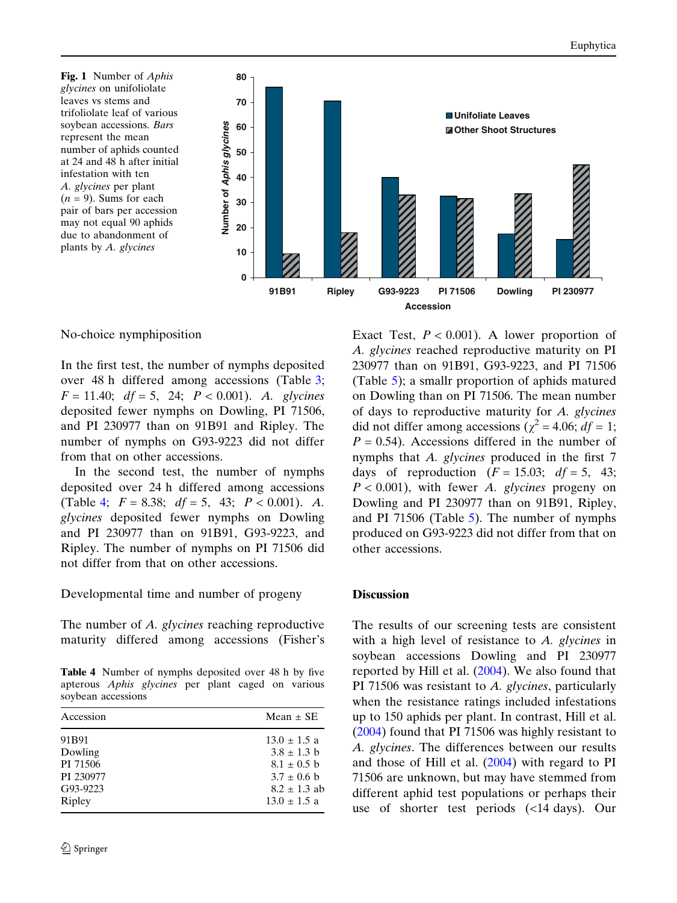<span id="page-5-0"></span>Fig. 1 Number of Aphis glycines on unifoliolate leaves vs stems and trifoliolate leaf of various soybean accessions. Bars represent the mean number of aphids counted at 24 and 48 h after initial infestation with ten A. glycines per plant  $(n = 9)$ . Sums for each pair of bars per accession may not equal 90 aphids due to abandonment of plants by A. glycines



No-choice nymphiposition

In the first test, the number of nymphs deposited over 48 h differed among accessions (Table [3;](#page-4-0)  $F = 11.40; df = 5, 24; P < 0.001$ . A. glycines deposited fewer nymphs on Dowling, PI 71506, and PI 230977 than on 91B91 and Ripley. The number of nymphs on G93-9223 did not differ from that on other accessions.

In the second test, the number of nymphs deposited over 24 h differed among accessions (Table 4;  $F = 8.38$ ;  $df = 5$ , 43;  $P < 0.001$ ). A. glycines deposited fewer nymphs on Dowling and PI 230977 than on 91B91, G93-9223, and Ripley. The number of nymphs on PI 71506 did not differ from that on other accessions.

Developmental time and number of progeny

The number of A. glycines reaching reproductive maturity differed among accessions (Fisher's

Table 4 Number of nymphs deposited over 48 h by five apterous Aphis glycines per plant caged on various soybean accessions

| Accession | Mean $\pm$ SE    |
|-----------|------------------|
| 91B91     | $13.0 \pm 1.5$ a |
| Dowling   | $3.8 \pm 1.3$ b  |
| PI 71506  | $8.1 \pm 0.5$ b  |
| PI 230977 | $3.7 \pm 0.6$ b  |
| G93-9223  | $8.2 \pm 1.3$ ab |
| Ripley    | $13.0 \pm 1.5$ a |

Exact Test,  $P < 0.001$ ). A lower proportion of A. glycines reached reproductive maturity on PI 230977 than on 91B91, G93-9223, and PI 71506 (Table [5\)](#page-6-0); a smallr proportion of aphids matured on Dowling than on PI 71506. The mean number of days to reproductive maturity for A. glycines did not differ among accessions ( $\chi^2$  = 4.06;  $df = 1$ ;  $P = 0.54$ ). Accessions differed in the number of nymphs that A. glycines produced in the first 7 days of reproduction  $(F = 15.03; df = 5, 43;$  $P < 0.001$ ), with fewer A. glycines progeny on Dowling and PI 230977 than on 91B91, Ripley, and PI 71506 (Table [5\)](#page-6-0). The number of nymphs produced on G93-9223 did not differ from that on other accessions.

#### **Discussion**

The results of our screening tests are consistent with a high level of resistance to A. glycines in soybean accessions Dowling and PI 230977 reported by Hill et al. [\(2004](#page-8-0)). We also found that PI 71506 was resistant to A. glycines, particularly when the resistance ratings included infestations up to 150 aphids per plant. In contrast, Hill et al. ([2004\)](#page-8-0) found that PI 71506 was highly resistant to A. glycines. The differences between our results and those of Hill et al.  $(2004)$  $(2004)$  with regard to PI 71506 are unknown, but may have stemmed from different aphid test populations or perhaps their use of shorter test periods (<14 days). Our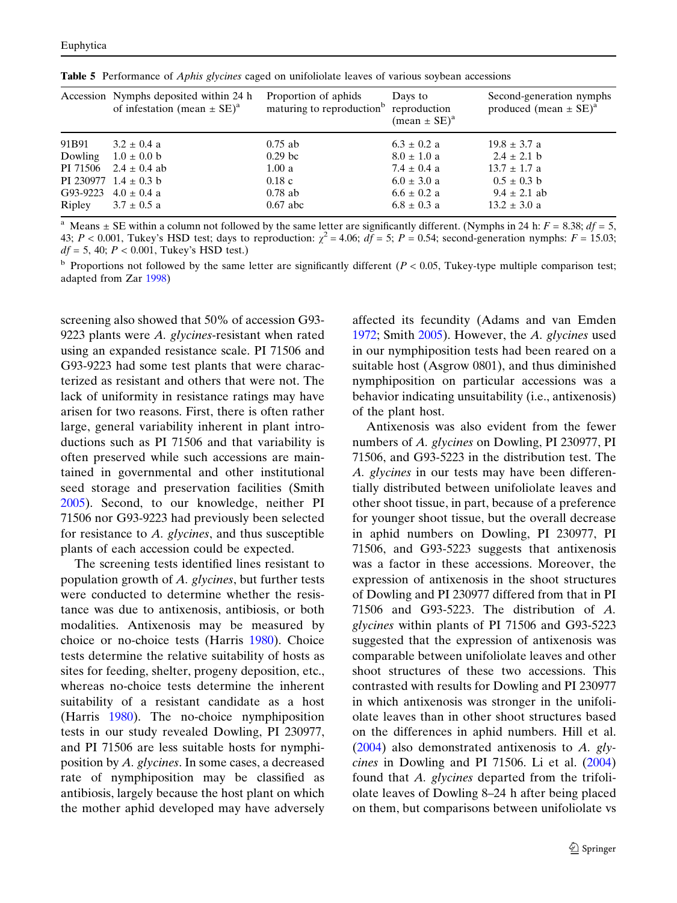|          | Accession Nymphs deposited within 24 h<br>of infestation (mean $\pm$ SE) <sup>a</sup> | Proportion of aphids<br>maturing to reproduction <sup>b</sup> | Days to<br>reproduction<br>$(mean \pm SE)^a$ | Second-generation nymphs<br>produced (mean $\pm$ SE) <sup>a</sup> |
|----------|---------------------------------------------------------------------------------------|---------------------------------------------------------------|----------------------------------------------|-------------------------------------------------------------------|
| 91B91    | $3.2 \pm 0.4$ a                                                                       | $0.75$ ab                                                     | $6.3 \pm 0.2$ a                              | $19.8 \pm 3.7$ a                                                  |
| Dowling  | $1.0 \pm 0.0$ b                                                                       | 0.29 <sub>bc</sub>                                            | $8.0 \pm 1.0$ a                              | $2.4 \pm 2.1$ b                                                   |
| PI 71506 | $2.4 \pm 0.4$ ab                                                                      | 1.00a                                                         | $7.4 \pm 0.4$ a                              | $13.7 \pm 1.7$ a                                                  |
|          | PI 230977 $1.4 \pm 0.3$ b                                                             | 0.18c                                                         | $6.0 \pm 3.0$ a                              | $0.5 \pm 0.3$ b                                                   |
| G93-9223 | $4.0 \pm 0.4$ a                                                                       | $0.78$ ab                                                     | $6.6 \pm 0.2$ a                              | $9.4 \pm 2.1$ ab                                                  |
| Ripley   | $3.7 \pm 0.5$ a                                                                       | $0.67$ abc                                                    | $6.8 \pm 0.3$ a                              | $13.2 \pm 3.0$ a                                                  |

<span id="page-6-0"></span>Table 5 Performance of *Aphis glycines* caged on unifoliolate leaves of various soybean accessions

Means  $\pm$  SE within a column not followed by the same letter are significantly different. (Nymphs in 24 h:  $F = 8.38$ ;  $df = 5$ , 43;  $P < 0.001$ , Tukey's HSD test; days to reproduction:  $\chi^2 = 4.06$ ;  $d\bar{f} = 5$ ;  $P = 0.54$ ; second-generation nymphs:  $F = 15.03$ ;  $df = 5, 40; P < 0.001$ , Tukey's HSD test.)

<sup>b</sup> Proportions not followed by the same letter are significantly different  $(P < 0.05$ , Tukey-type multiple comparison test; adapted from Zar [1998](#page-8-0))

screening also showed that 50% of accession G93- 9223 plants were  $A$ . glycines-resistant when rated using an expanded resistance scale. PI 71506 and G93-9223 had some test plants that were characterized as resistant and others that were not. The lack of uniformity in resistance ratings may have arisen for two reasons. First, there is often rather large, general variability inherent in plant introductions such as PI 71506 and that variability is often preserved while such accessions are maintained in governmental and other institutional seed storage and preservation facilities (Smith [2005\)](#page-8-0). Second, to our knowledge, neither PI 71506 nor G93-9223 had previously been selected for resistance to A. glycines, and thus susceptible plants of each accession could be expected.

The screening tests identified lines resistant to population growth of A. glycines, but further tests were conducted to determine whether the resistance was due to antixenosis, antibiosis, or both modalities. Antixenosis may be measured by choice or no-choice tests (Harris [1980](#page-8-0)). Choice tests determine the relative suitability of hosts as sites for feeding, shelter, progeny deposition, etc., whereas no-choice tests determine the inherent suitability of a resistant candidate as a host (Harris [1980\)](#page-8-0). The no-choice nymphiposition tests in our study revealed Dowling, PI 230977, and PI 71506 are less suitable hosts for nymphiposition by A. glycines. In some cases, a decreased rate of nymphiposition may be classified as antibiosis, largely because the host plant on which the mother aphid developed may have adversely affected its fecundity (Adams and van Emden [1972;](#page-8-0) Smith [2005\)](#page-8-0). However, the A. glycines used in our nymphiposition tests had been reared on a suitable host (Asgrow 0801), and thus diminished nymphiposition on particular accessions was a behavior indicating unsuitability (i.e., antixenosis) of the plant host.

Antixenosis was also evident from the fewer numbers of A. glycines on Dowling, PI 230977, PI 71506, and G93-5223 in the distribution test. The A. glycines in our tests may have been differentially distributed between unifoliolate leaves and other shoot tissue, in part, because of a preference for younger shoot tissue, but the overall decrease in aphid numbers on Dowling, PI 230977, PI 71506, and G93-5223 suggests that antixenosis was a factor in these accessions. Moreover, the expression of antixenosis in the shoot structures of Dowling and PI 230977 differed from that in PI 71506 and G93-5223. The distribution of A. glycines within plants of PI 71506 and G93-5223 suggested that the expression of antixenosis was comparable between unifoliolate leaves and other shoot structures of these two accessions. This contrasted with results for Dowling and PI 230977 in which antixenosis was stronger in the unifoliolate leaves than in other shoot structures based on the differences in aphid numbers. Hill et al.  $(2004)$  $(2004)$  also demonstrated antixenosis to A. glycines in Dowling and PI 71506. Li et al. [\(2004](#page-8-0)) found that A. glycines departed from the trifoliolate leaves of Dowling 8–24 h after being placed on them, but comparisons between unifoliolate vs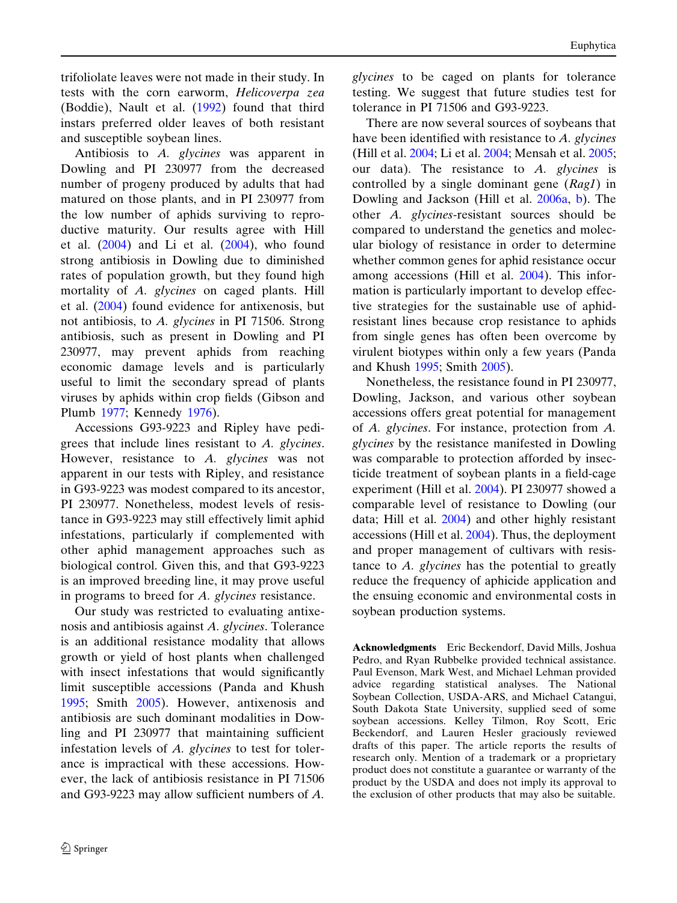trifoliolate leaves were not made in their study. In tests with the corn earworm, Helicoverpa zea (Boddie), Nault et al. ([1992\)](#page-8-0) found that third instars preferred older leaves of both resistant and susceptible soybean lines.

Antibiosis to A. glycines was apparent in Dowling and PI 230977 from the decreased number of progeny produced by adults that had matured on those plants, and in PI 230977 from the low number of aphids surviving to reproductive maturity. Our results agree with Hill et al.  $(2004)$  $(2004)$  and Li et al.  $(2004)$  $(2004)$ , who found strong antibiosis in Dowling due to diminished rates of population growth, but they found high mortality of A. glycines on caged plants. Hill et al. [\(2004](#page-8-0)) found evidence for antixenosis, but not antibiosis, to A. glycines in PI 71506. Strong antibiosis, such as present in Dowling and PI 230977, may prevent aphids from reaching economic damage levels and is particularly useful to limit the secondary spread of plants viruses by aphids within crop fields (Gibson and Plumb [1977](#page-8-0); Kennedy [1976](#page-8-0)).

Accessions G93-9223 and Ripley have pedigrees that include lines resistant to A. glycines. However, resistance to A. glycines was not apparent in our tests with Ripley, and resistance in G93-9223 was modest compared to its ancestor, PI 230977. Nonetheless, modest levels of resistance in G93-9223 may still effectively limit aphid infestations, particularly if complemented with other aphid management approaches such as biological control. Given this, and that G93-9223 is an improved breeding line, it may prove useful in programs to breed for A. glycines resistance.

Our study was restricted to evaluating antixenosis and antibiosis against A. glycines. Tolerance is an additional resistance modality that allows growth or yield of host plants when challenged with insect infestations that would significantly limit susceptible accessions (Panda and Khush [1995;](#page-8-0) Smith [2005](#page-8-0)). However, antixenosis and antibiosis are such dominant modalities in Dowling and PI 230977 that maintaining sufficient infestation levels of A. glycines to test for tolerance is impractical with these accessions. However, the lack of antibiosis resistance in PI 71506 and G93-9223 may allow sufficient numbers of A.

glycines to be caged on plants for tolerance testing. We suggest that future studies test for tolerance in PI 71506 and G93-9223.

There are now several sources of soybeans that have been identified with resistance to A. glycines (Hill et al. [2004;](#page-8-0) Li et al. [2004](#page-8-0); Mensah et al. [2005;](#page-8-0) our data). The resistance to  $A$ . glycines is controlled by a single dominant gene (Rag1) in Dowling and Jackson (Hill et al. [2006a,](#page-8-0) [b\)](#page-8-0). The other A. glycines-resistant sources should be compared to understand the genetics and molecular biology of resistance in order to determine whether common genes for aphid resistance occur among accessions (Hill et al. [2004](#page-8-0)). This information is particularly important to develop effective strategies for the sustainable use of aphidresistant lines because crop resistance to aphids from single genes has often been overcome by virulent biotypes within only a few years (Panda and Khush [1995;](#page-8-0) Smith [2005](#page-8-0)).

Nonetheless, the resistance found in PI 230977, Dowling, Jackson, and various other soybean accessions offers great potential for management of A. glycines. For instance, protection from A. glycines by the resistance manifested in Dowling was comparable to protection afforded by insecticide treatment of soybean plants in a field-cage experiment (Hill et al. [2004\)](#page-8-0). PI 230977 showed a comparable level of resistance to Dowling (our data; Hill et al. [2004\)](#page-8-0) and other highly resistant accessions (Hill et al. [2004](#page-8-0)). Thus, the deployment and proper management of cultivars with resistance to A. glycines has the potential to greatly reduce the frequency of aphicide application and the ensuing economic and environmental costs in soybean production systems.

Acknowledgments Eric Beckendorf, David Mills, Joshua Pedro, and Ryan Rubbelke provided technical assistance. Paul Evenson, Mark West, and Michael Lehman provided advice regarding statistical analyses. The National Soybean Collection, USDA-ARS, and Michael Catangui, South Dakota State University, supplied seed of some soybean accessions. Kelley Tilmon, Roy Scott, Eric Beckendorf, and Lauren Hesler graciously reviewed drafts of this paper. The article reports the results of research only. Mention of a trademark or a proprietary product does not constitute a guarantee or warranty of the product by the USDA and does not imply its approval to the exclusion of other products that may also be suitable.